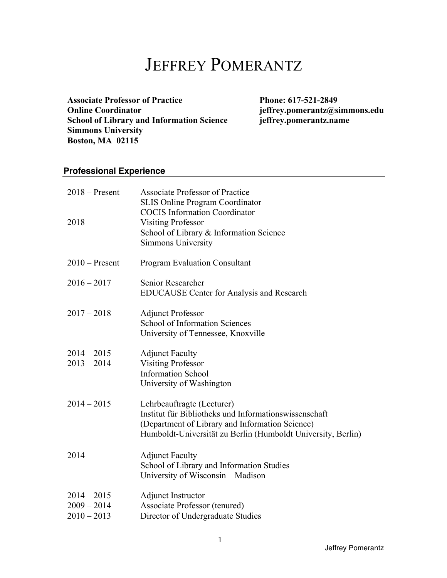# JEFFREY POMERANTZ

 **School of Library and Information Science jeffrey.pomerantz.name Simmons University Boston, MA 02115**  Associate Professor of Practice Phone: 617-521-2849 **Online Coordinator [jeffrey.pomerantz@simmons.edu](mailto:jeffrey.pomerantz@simmons.edu)** 

# **Professional Experience**

| $2018 -$ Present<br>2018                        | <b>Associate Professor of Practice</b><br><b>SLIS Online Program Coordinator</b><br><b>COCIS</b> Information Coordinator<br><b>Visiting Professor</b><br>School of Library & Information Science<br>Simmons University |
|-------------------------------------------------|------------------------------------------------------------------------------------------------------------------------------------------------------------------------------------------------------------------------|
| $2010$ – Present                                | Program Evaluation Consultant                                                                                                                                                                                          |
| $2016 - 2017$                                   | Senior Researcher<br><b>EDUCAUSE</b> Center for Analysis and Research                                                                                                                                                  |
| $2017 - 2018$                                   | <b>Adjunct Professor</b><br><b>School of Information Sciences</b><br>University of Tennessee, Knoxville                                                                                                                |
| $2014 - 2015$<br>$2013 - 2014$                  | <b>Adjunct Faculty</b><br><b>Visiting Professor</b><br><b>Information School</b><br>University of Washington                                                                                                           |
| $2014 - 2015$                                   | Lehrbeauftragte (Lecturer)<br>Institut für Bibliotheks und Informationswissenschaft<br>(Department of Library and Information Science)<br>Humboldt-Universität zu Berlin (Humboldt University, Berlin)                 |
| 2014                                            | <b>Adjunct Faculty</b><br>School of Library and Information Studies<br>University of Wisconsin - Madison                                                                                                               |
| $2014 - 2015$<br>$2009 - 2014$<br>$2010 - 2013$ | Adjunct Instructor<br>Associate Professor (tenured)<br>Director of Undergraduate Studies                                                                                                                               |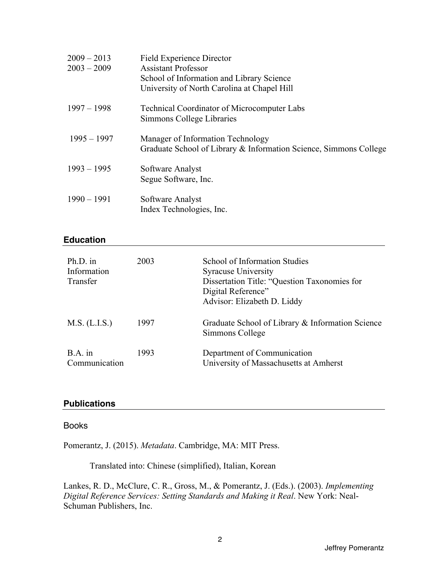| $2009 - 2013$<br>$2003 - 2009$ | <b>Field Experience Director</b><br><b>Assistant Professor</b><br>School of Information and Library Science<br>University of North Carolina at Chapel Hill |
|--------------------------------|------------------------------------------------------------------------------------------------------------------------------------------------------------|
| $1997 - 1998$                  | <b>Technical Coordinator of Microcomputer Labs</b><br>Simmons College Libraries                                                                            |
| $1995 - 1997$                  | Manager of Information Technology<br>Graduate School of Library & Information Science, Simmons College                                                     |
| $1993 - 1995$                  | Software Analyst<br>Segue Software, Inc.                                                                                                                   |
| $1990 - 1991$                  | Software Analyst<br>Index Technologies, Inc.                                                                                                               |

#### **Education**

| $Ph.D.$ in<br>Information<br>Transfer | 2003 | School of Information Studies<br><b>Syracuse University</b><br>Dissertation Title: "Question Taxonomies for<br>Digital Reference"<br>Advisor: Elizabeth D. Liddy |
|---------------------------------------|------|------------------------------------------------------------------------------------------------------------------------------------------------------------------|
| M.S. (L.I.S.)                         | 1997 | Graduate School of Library & Information Science<br>Simmons College                                                                                              |
| $B.A.$ in<br>Communication            | 1993 | Department of Communication<br>University of Massachusetts at Amherst                                                                                            |

# **Publications**

#### Books

Pomerantz, J. (2015). *Metadata*. Cambridge, MA: MIT Press.

Translated into: Chinese (simplified), Italian, Korean

Lankes, R. D., McClure, C. R., Gross, M., & Pomerantz, J. (Eds.). (2003). *Implementing Digital Reference Services: Setting Standards and Making it Real*. New York: Neal-Schuman Publishers, Inc.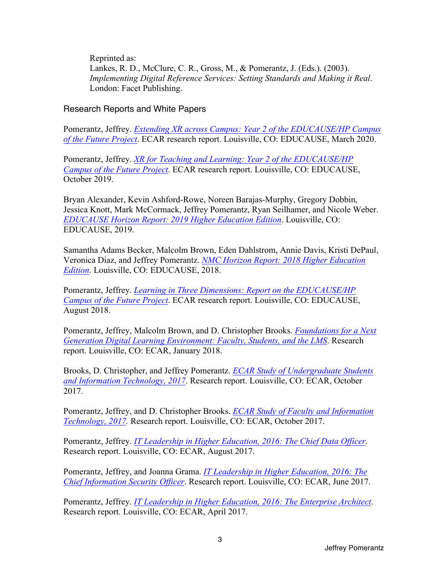Reprinted as: Lankes, R. D., McClure, C. R., Gross, M., & Pomerantz, J. (Eds.). (2003). *Implementing Digital Reference Services: Setting Standards and Making it Real*. London: Facet Publishing.

#### Research Reports and White Papers

Pomerantz, Jeffrey. *Extending XR across Campus: Year 2 of the EDUCAUSE/HP Campus of the Future Project*. ECAR research report. Louisville, CO: EDUCAUSE, March 2020.

Pomerantz, Jeffrey. *XR for Teaching and Learning: Year 2 of the EDUCAUSE/HP Campus of the Future Project*. ECAR research report. Louisville, CO: EDUCAUSE, October 2019.

Bryan Alexander, Kevin Ashford-Rowe, Noreen Barajas-Murphy, Gregory Dobbin, Jessica Knott, Mark McCormack, Jeffrey Pomerantz, Ryan Seilhamer, and Nicole Weber. *EDUCAUSE Horizon Report: 2019 Higher Education Edition*. Louisville, CO: EDUCAUSE, 2019.

Samantha Adams Becker, Malcolm Brown, Eden Dahlstrom, Annie Davis, Kristi DePaul, Veronica Diaz, and Jeffrey Pomerantz. *NMC Horizon Report: 2018 Higher Education Edition*. Louisville, CO: EDUCAUSE, 2018.

Pomerantz, Jeffrey. *Learning in Three Dimensions: Report on the EDUCAUSE/HP Campus of the Future Project*. ECAR research report. Louisville, CO: EDUCAUSE, August 2018.

Pomerantz, Jeffrey, Malcolm Brown, and D. Christopher Brooks. *Foundations for a Next Generation Digital Learning Environment: Faculty, Students, and the LMS*. Research report. Louisville, CO: ECAR, January 2018.

Brooks, D. Christopher, and Jeffrey Pomerantz. *ECAR Study of Undergraduate Students and Information Technology, 2017*. Research report. Louisville, CO: ECAR, October 2017.

Pomerantz, Jeffrey, and D. Christopher Brooks. *ECAR Study of Faculty and Information Technology, 2017.* Research report. Louisville, CO: ECAR, October 2017.

Pomerantz, Jeffrey. *IT Leadership in Higher Education, 2016: The Chief Data Officer*. Research report. Louisville, CO: ECAR, August 2017.

Pomerantz, Jeffrey, and Joanna Grama. *IT Leadership in Higher Education, 2016: The Chief Information Security Officer*. Research report. Louisville, CO: ECAR, June 2017.

Pomerantz, Jeffrey. *IT Leadership in Higher Education, 2016: The Enterprise Architect*. Research report. Louisville, CO: ECAR, April 2017.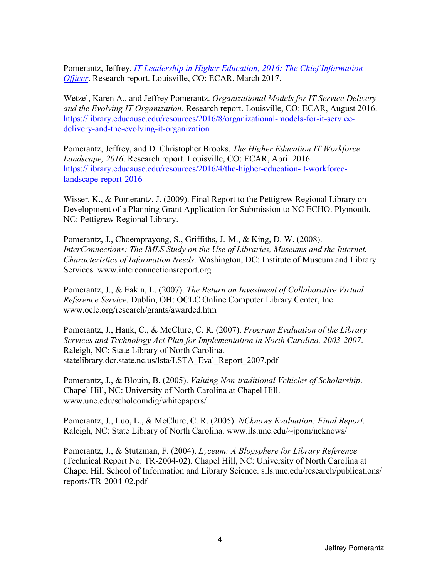Pomerantz, Jeffrey. *IT Leadership in Higher Education, 2016: The Chief Information Officer*. Research report. Louisville, CO: ECAR, March 2017.

delivery-and-the-evolving-it-organization Wetzel, Karen A., and Jeffrey Pomerantz. *Organizational Models for IT Service Delivery and the Evolving IT Organization*. Research report. Louisville, CO: ECAR, August 2016. <https://library.educause.edu/resources/2016/8/organizational-models-for-it-service>-

landscape-report-2016 Pomerantz, Jeffrey, and D. Christopher Brooks. *The Higher Education IT Workforce Landscape, 2016*. Research report. Louisville, CO: ECAR, April 2016. <https://library.educause.edu/resources/2016/4/the-higher-education-it-workforce>-

Wisser, K., & Pomerantz, J. (2009). Final Report to the Pettigrew Regional Library on Development of a Planning Grant Application for Submission to NC ECHO. Plymouth, NC: Pettigrew Regional Library.

Pomerantz, J., Choemprayong, S., Griffiths, J.-M., & King, D. W. (2008). *InterConnections: The IMLS Study on the Use of Libraries, Museums and the Internet. Characteristics of Information Needs*. Washington, DC: Institute of Museum and Library Services. <www.interconnectionsreport.org>

Pomerantz, J., & Eakin, L. (2007). *The Return on Investment of Collaborative Virtual Reference Service*. Dublin, OH: OCLC Online Computer Library Center, Inc. <www.oclc.org/research/grants/awarded.htm>

Pomerantz, J., Hank, C., & McClure, C. R. (2007). *Program Evaluation of the Library Services and Technology Act Plan for Implementation in North Carolina, 2003-2007*. Raleigh, NC: State Library of North Carolina. statelibrary.dcr.state.nc.us/lsta/LSTA\_Eval\_Report\_2007.pdf

Pomerantz, J., & Blouin, B. (2005). *Valuing Non-traditional Vehicles of Scholarship*. Chapel Hill, NC: University of North Carolina at Chapel Hill. [www.unc.edu/scholcomdig/whitepapers/](www.unc.edu/scholcomdig/whitepapers)

Pomerantz, J., Luo, L., & McClure, C. R. (2005). *NCknows Evaluation: Final Report*. Raleigh, NC: State Library of North Carolina. <www.ils.unc.edu/~jpom/ncknows>/

Pomerantz, J., & Stutzman, F. (2004). *Lyceum: A Blogsphere for Library Reference*  (Technical Report No. TR-2004-02). Chapel Hill, NC: University of North Carolina at Chapel Hill School of Information and Library Science. [sils.unc.edu/research/publications/](https://sils.unc.edu/research/publications) reports/TR-2004-02.pdf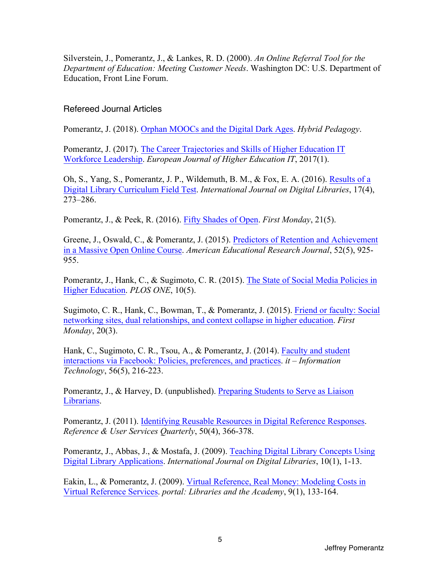Silverstein, J., Pomerantz, J., & Lankes, R. D. (2000). *An Online Referral Tool for the Department of Education: Meeting Customer Needs*. Washington DC: U.S. Department of Education, Front Line Forum.

#### Refereed Journal Articles

Pomerantz, J. (2018). Orphan MOOCs and the Digital Dark Ages. *Hybrid Pedagogy*.

Pomerantz, J. (2017). The Career Trajectories and Skills of Higher Education IT Workforce Leadership. *European Journal of Higher Education IT*, 2017(1).

Oh, S., Yang, S., Pomerantz, J. P., Wildemuth, B. M., & Fox, E. A. (2016). Results of a Digital Library Curriculum Field Test. *International Journal on Digital Libraries*, 17(4), 273–286.

Pomerantz, J., & Peek, R. (2016). Fifty Shades of Open. *First Monday*, 21(5).

Greene, J., Oswald, C., & Pomerantz, J. (2015). Predictors of Retention and Achievement in a Massive Open Online Course. *American Educational Research Journal*, 52(5), 925- 955.

Pomerantz, J., Hank, C., & Sugimoto, C. R. (2015). The State of Social Media Policies in Higher Education. *PLOS ONE*, 10(5).

Sugimoto, C. R., Hank, C., Bowman, T., & Pomerantz, J. (2015). Friend or faculty: Social networking sites, dual relationships, and context collapse in higher education. *First Monday*, 20(3).

Hank, C., Sugimoto, C. R., Tsou, A., & Pomerantz, J. (2014). Faculty and student interactions via Facebook: Policies, preferences, and practices. *it – Information Technology*, 56(5), 216-223.

Pomerantz, J., & Harvey, D. (unpublished). Preparing Students to Serve as Liaison Librarians.

Pomerantz, J. (2011). Identifying Reusable Resources in Digital Reference Responses. *Reference & User Services Quarterly*, 50(4), 366-378.

Pomerantz, J., Abbas, J., & Mostafa, J. (2009). Teaching Digital Library Concepts Using Digital Library Applications. *International Journal on Digital Libraries*, 10(1), 1-13.

Eakin, L., & Pomerantz, J. (2009). Virtual Reference, Real Money: Modeling Costs in Virtual Reference Services. *portal: Libraries and the Academy*, 9(1), 133-164.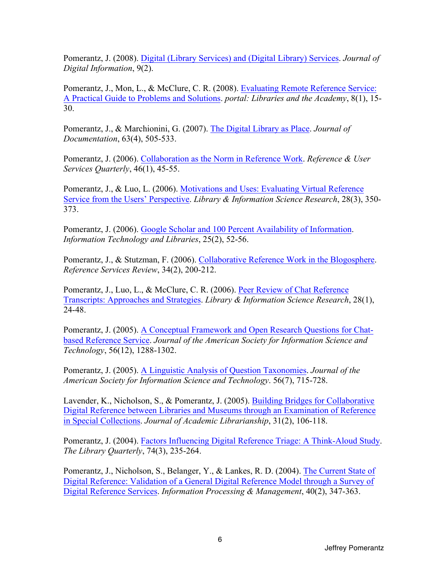Pomerantz, J. (2008). Digital (Library Services) and (Digital Library) Services. *Journal of Digital Information*, 9(2).

Pomerantz, J., Mon, L., & McClure, C. R. (2008). Evaluating Remote Reference Service: A Practical Guide to Problems and Solutions. *portal: Libraries and the Academy*, 8(1), 15- 30.

Pomerantz, J., & Marchionini, G. (2007). The Digital Library as Place. *Journal of Documentation*, 63(4), 505-533.

Pomerantz, J. (2006). Collaboration as the Norm in Reference Work. *Reference & User Services Quarterly*, 46(1), 45-55.

Pomerantz, J., & Luo, L. (2006). Motivations and Uses: Evaluating Virtual Reference Service from the Users' Perspective. *Library & Information Science Research*, 28(3), 350- 373.

Pomerantz, J. (2006). Google Scholar and 100 Percent Availability of Information. *Information Technology and Libraries*, 25(2), 52-56.

Pomerantz, J., & Stutzman, F. (2006). Collaborative Reference Work in the Blogosphere. *Reference Services Review*, 34(2), 200-212.

Pomerantz, J., Luo, L., & McClure, C. R. (2006). Peer Review of Chat Reference Transcripts: Approaches and Strategies. *Library & Information Science Research*, 28(1), 24-48.

Pomerantz, J. (2005). A Conceptual Framework and Open Research Questions for Chatbased Reference Service. *Journal of the American Society for Information Science and Technology*, 56(12), 1288-1302.

Pomerantz, J. (2005). A Linguistic Analysis of Question Taxonomies. *Journal of the American Society for Information Science and Technology*. 56(7), 715-728.

Lavender, K., Nicholson, S., & Pomerantz, J. (2005). Building Bridges for Collaborative Digital Reference between Libraries and Museums through an Examination of Reference in Special Collections. *Journal of Academic Librarianship*, 31(2), 106-118.

Pomerantz, J. (2004). Factors Influencing Digital Reference Triage: A Think-Aloud Study. *The Library Quarterly*, 74(3), 235-264.

Pomerantz, J., Nicholson, S., Belanger, Y., & Lankes, R. D. (2004). The Current State of Digital Reference: Validation of a General Digital Reference Model through a Survey of Digital Reference Services. *Information Processing & Management*, 40(2), 347-363.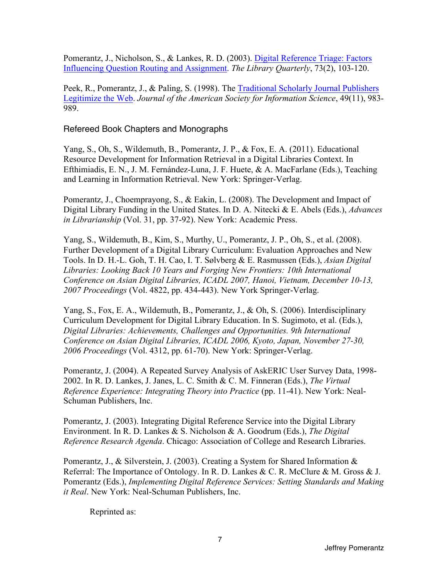Pomerantz, J., Nicholson, S., & Lankes, R. D. (2003). Digital Reference Triage: Factors Influencing Question Routing and Assignment. *The Library Quarterly*, 73(2), 103-120.

Peek, R., Pomerantz, J., & Paling, S. (1998). The Traditional Scholarly Journal Publishers Legitimize the Web. *Journal of the American Society for Information Science*, 49(11), 983- 989.

Refereed Book Chapters and Monographs

Yang, S., Oh, S., Wildemuth, B., Pomerantz, J. P., & Fox, E. A. (2011). Educational Resource Development for Information Retrieval in a Digital Libraries Context. In Efthimiadis, E. N., J. M. Fernández-Luna, J. F. Huete, & A. MacFarlane (Eds.), Teaching and Learning in Information Retrieval. New York: Springer-Verlag.

Pomerantz, J., Choemprayong, S., & Eakin, L. (2008). The Development and Impact of Digital Library Funding in the United States. In D. A. Nitecki & E. Abels (Eds.), *Advances in Librarianship* (Vol. 31, pp. 37-92). New York: Academic Press.

Yang, S., Wildemuth, B., Kim, S., Murthy, U., Pomerantz, J. P., Oh, S., et al. (2008). Further Development of a Digital Library Curriculum: Evaluation Approaches and New Tools. In D. H.-L. Goh, T. H. Cao, I. T. Sølvberg & E. Rasmussen (Eds.), *Asian Digital Libraries: Looking Back 10 Years and Forging New Frontiers: 10th International Conference on Asian Digital Libraries, ICADL 2007, Hanoi, Vietnam, December 10-13, 2007 Proceedings* (Vol. 4822, pp. 434-443). New York Springer-Verlag.

Yang, S., Fox, E. A., Wildemuth, B., Pomerantz, J., & Oh, S. (2006). Interdisciplinary Curriculum Development for Digital Library Education. In S. Sugimoto, et al. (Eds.), *Digital Libraries: Achievements, Challenges and Opportunities. 9th International Conference on Asian Digital Libraries, ICADL 2006, Kyoto, Japan, November 27-30, 2006 Proceedings* (Vol. 4312, pp. 61-70). New York: Springer-Verlag.

Pomerantz, J. (2004). A Repeated Survey Analysis of AskERIC User Survey Data, 1998- 2002. In R. D. Lankes, J. Janes, L. C. Smith & C. M. Finneran (Eds.), *The Virtual Reference Experience: Integrating Theory into Practice (pp. 11-41). New York: Neal-*Schuman Publishers, Inc.

Pomerantz, J. (2003). Integrating Digital Reference Service into the Digital Library Environment. In R. D. Lankes & S. Nicholson & A. Goodrum (Eds.), *The Digital Reference Research Agenda*. Chicago: Association of College and Research Libraries.

Pomerantz, J., & Silverstein, J. (2003). Creating a System for Shared Information & Referral: The Importance of Ontology. In R. D. Lankes & C. R. McClure & M. Gross & J. Pomerantz (Eds.), *Implementing Digital Reference Services: Setting Standards and Making it Real*. New York: Neal-Schuman Publishers, Inc.

Reprinted as: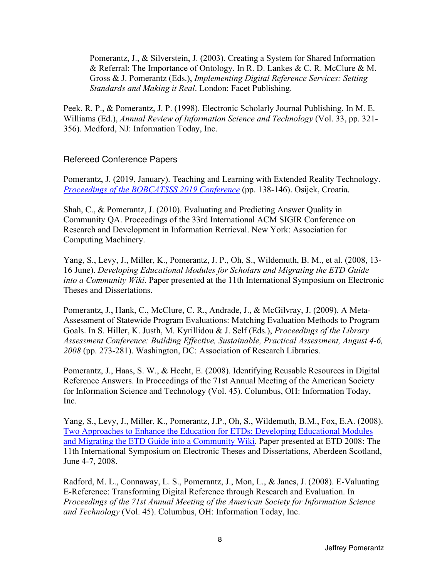Pomerantz, J., & Silverstein, J. (2003). Creating a System for Shared Information & Referral: The Importance of Ontology. In R. D. Lankes & C. R. McClure & M. Gross & J. Pomerantz (Eds.), *Implementing Digital Reference Services: Setting Standards and Making it Real*. London: Facet Publishing.

Peek, R. P., & Pomerantz, J. P. (1998). Electronic Scholarly Journal Publishing. In M. E. Williams (Ed.), *Annual Review of Information Science and Technology* (Vol. 33, pp. 321- 356). Medford, NJ: Information Today, Inc.

#### Refereed Conference Papers

Pomerantz, J. (2019, January). Teaching and Learning with Extended Reality Technology. *Proceedings of the BOBCATSSS 2019 Conference* (pp. 138-146). Osijek, Croatia.

Shah, C., & Pomerantz, J. (2010). Evaluating and Predicting Answer Quality in Community QA. Proceedings of the 33rd International ACM SIGIR Conference on Research and Development in Information Retrieval. New York: Association for Computing Machinery.

Yang, S., Levy, J., Miller, K., Pomerantz, J. P., Oh, S., Wildemuth, B. M., et al. (2008, 13- 16 June). *Developing Educational Modules for Scholars and Migrating the ETD Guide into a Community Wiki*. Paper presented at the 11th International Symposium on Electronic Theses and Dissertations.

Pomerantz, J., Hank, C., McClure, C. R., Andrade, J., & McGilvray, J. (2009). A Meta-Assessment of Statewide Program Evaluations: Matching Evaluation Methods to Program Goals. In S. Hiller, K. Justh, M. Kyrillidou & J. Self (Eds.), *Proceedings of the Library Assessment Conference: Building Effective, Sustainable, Practical Assessment, August 4-6, 2008* (pp. 273-281). Washington, DC: Association of Research Libraries.

Pomerantz, J., Haas, S. W., & Hecht, E. (2008). Identifying Reusable Resources in Digital Reference Answers. In Proceedings of the 71st Annual Meeting of the American Society for Information Science and Technology (Vol. 45). Columbus, OH: Information Today, Inc.

Yang, S., Levy, J., Miller, K., Pomerantz, J.P., Oh, S., Wildemuth, B.M., Fox, E.A. (2008). Two Approaches to Enhance the Education for ETDs: Developing Educational Modules and Migrating the ETD Guide into a Community Wiki. Paper presented at ETD 2008: The 11th International Symposium on Electronic Theses and Dissertations, Aberdeen Scotland, June 4-7, 2008.

Radford, M. L., Connaway, L. S., Pomerantz, J., Mon, L., & Janes, J. (2008). E-Valuating E-Reference: Transforming Digital Reference through Research and Evaluation. In *Proceedings of the 71st Annual Meeting of the American Society for Information Science and Technology* (Vol. 45). Columbus, OH: Information Today, Inc.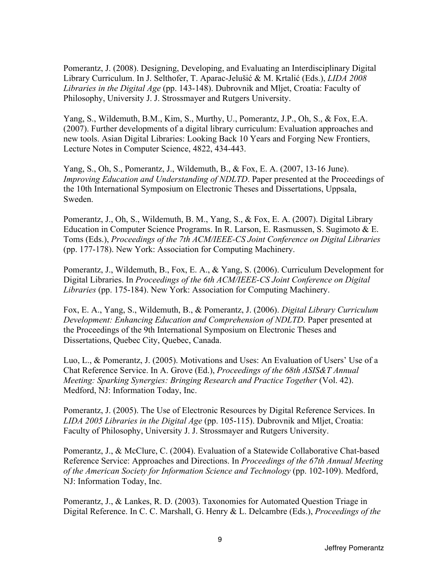Pomerantz, J. (2008). Designing, Developing, and Evaluating an Interdisciplinary Digital Library Curriculum. In J. Selthofer, T. Aparac-Jelušić & M. Krtalić (Eds.), *LIDA 2008 Libraries in the Digital Age* (pp. 143-148). Dubrovnik and Mljet, Croatia: Faculty of Philosophy, University J. J. Strossmayer and Rutgers University.

Yang, S., Wildemuth, B.M., Kim, S., Murthy, U., Pomerantz, J.P., Oh, S., & Fox, E.A. (2007). Further developments of a digital library curriculum: Evaluation approaches and new tools. Asian Digital Libraries: Looking Back 10 Years and Forging New Frontiers, Lecture Notes in Computer Science, 4822, 434-443.

Yang, S., Oh, S., Pomerantz, J., Wildemuth, B., & Fox, E. A. (2007, 13-16 June). *Improving Education and Understanding of NDLTD*. Paper presented at the Proceedings of the 10th International Symposium on Electronic Theses and Dissertations, Uppsala, Sweden.

Pomerantz, J., Oh, S., Wildemuth, B. M., Yang, S., & Fox, E. A. (2007). Digital Library Education in Computer Science Programs. In R. Larson, E. Rasmussen, S. Sugimoto & E. Toms (Eds.), *Proceedings of the 7th ACM/IEEE-CS Joint Conference on Digital Libraries*  (pp. 177-178). New York: Association for Computing Machinery.

Pomerantz, J., Wildemuth, B., Fox, E. A., & Yang, S. (2006). Curriculum Development for Digital Libraries. In *Proceedings of the 6th ACM/IEEE-CS Joint Conference on Digital Libraries* (pp. 175-184). New York: Association for Computing Machinery.

Fox, E. A., Yang, S., Wildemuth, B., & Pomerantz, J. (2006). *Digital Library Curriculum Development: Enhancing Education and Comprehension of NDLTD*. Paper presented at the Proceedings of the 9th International Symposium on Electronic Theses and Dissertations, Quebec City, Quebec, Canada.

Luo, L., & Pomerantz, J. (2005). Motivations and Uses: An Evaluation of Users' Use of a Chat Reference Service. In A. Grove (Ed.), *Proceedings of the 68th ASIS&T Annual Meeting: Sparking Synergies: Bringing Research and Practice Together (Vol. 42).* Medford, NJ: Information Today, Inc.

Pomerantz, J. (2005). The Use of Electronic Resources by Digital Reference Services. In *LIDA 2005 Libraries in the Digital Age* (pp. 105-115). Dubrovnik and Mljet, Croatia: Faculty of Philosophy, University J. J. Strossmayer and Rutgers University.

Pomerantz, J., & McClure, C. (2004). Evaluation of a Statewide Collaborative Chat-based Reference Service: Approaches and Directions. In *Proceedings of the 67th Annual Meeting of the American Society for Information Science and Technology* (pp. 102-109). Medford, NJ: Information Today, Inc.

Pomerantz, J., & Lankes, R. D. (2003). Taxonomies for Automated Question Triage in Digital Reference. In C. C. Marshall, G. Henry & L. Delcambre (Eds.), *Proceedings of the*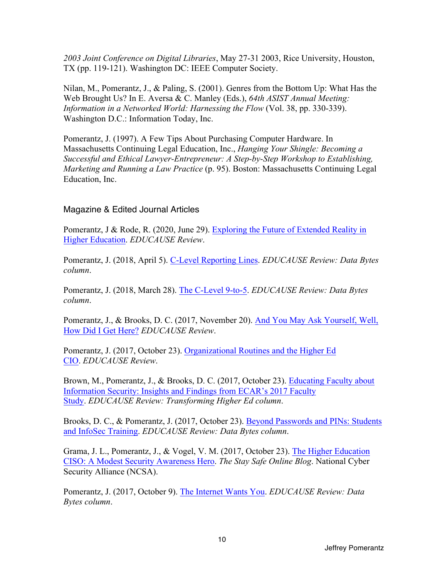*2003 Joint Conference on Digital Libraries*, May 27-31 2003, Rice University, Houston, TX (pp. 119-121). Washington DC: IEEE Computer Society.

Nilan, M., Pomerantz, J., & Paling, S. (2001). Genres from the Bottom Up: What Has the Web Brought Us? In E. Aversa & C. Manley (Eds.), *64th ASIST Annual Meeting: Information in a Networked World: Harnessing the Flow (Vol. 38, pp. 330-339).* Washington D.C.: Information Today, Inc.

Pomerantz, J. (1997). A Few Tips About Purchasing Computer Hardware. In Massachusetts Continuing Legal Education, Inc., *Hanging Your Shingle: Becoming a Successful and Ethical Lawyer-Entrepreneur: A Step-by-Step Workshop to Establishing, Marketing and Running a Law Practice* (p. 95). Boston: Massachusetts Continuing Legal Education, Inc.

# Magazine & Edited Journal Articles

Pomerantz, J & Rode, R. (2020, June 29). Exploring the Future of Extended Reality in Higher Education. *EDUCAUSE Review*.

Pomerantz, J. (2018, April 5). C-Level Reporting Lines. *EDUCAUSE Review: Data Bytes column*.

Pomerantz, J. (2018, March 28). The C-Level 9-to-5. *EDUCAUSE Review: Data Bytes column*.

Pomerantz, J., & Brooks, D. C. (2017, November 20). And You May Ask Yourself, Well, How Did I Get Here? *EDUCAUSE Review*.

Pomerantz, J. (2017, October 23). Organizational Routines and the Higher Ed CIO. *EDUCAUSE Review*.

Brown, M., Pomerantz, J., & Brooks, D. C. (2017, October 23). Educating Faculty about Information Security: Insights and Findings from ECAR's 2017 Faculty Study. *EDUCAUSE Review: Transforming Higher Ed column*.

Brooks, D. C., & Pomerantz, J. (2017, October 23). Beyond Passwords and PINs: Students and InfoSec Training. *EDUCAUSE Review: Data Bytes column*.

Grama, J. L., Pomerantz, J., & Vogel, V. M. (2017, October 23). The Higher Education CISO: A Modest Security Awareness Hero. *The Stay Safe Online Blog*. National Cyber Security Alliance (NCSA).

Pomerantz, J. (2017, October 9). The Internet Wants You. *EDUCAUSE Review: Data Bytes column*.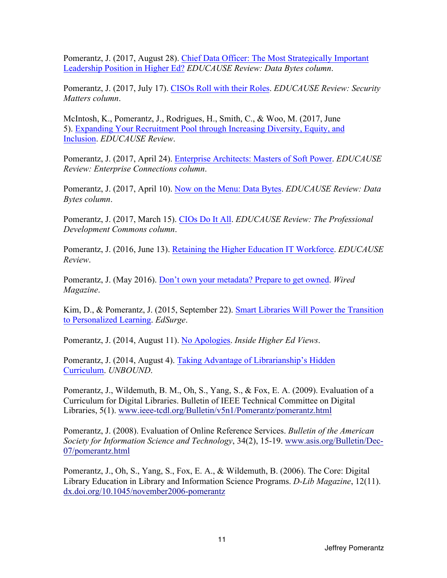Pomerantz, J. (2017, August 28). Chief Data Officer: The Most Strategically Important Leadership Position in Higher Ed? *EDUCAUSE Review: Data Bytes column*.

Pomerantz, J. (2017, July 17). CISOs Roll with their Roles. *EDUCAUSE Review: Security Matters column*.

McIntosh, K., Pomerantz, J., Rodrigues, H., Smith, C., & Woo, M. (2017, June 5). Expanding Your Recruitment Pool through Increasing Diversity, Equity, and Inclusion. *EDUCAUSE Review*.

Pomerantz, J. (2017, April 24). Enterprise Architects: Masters of Soft Power. *EDUCAUSE Review: Enterprise Connections column*.

 Pomerantz, J. (2017, April 10). Now on the Menu: Data Bytes. *EDUCAUSE Review: Data Bytes column*.

Pomerantz, J. (2017, March 15). CIOs Do It All. *EDUCAUSE Review: The Professional Development Commons column*.

Pomerantz, J. (2016, June 13). Retaining the Higher Education IT Workforce. *EDUCAUSE Review*.

Pomerantz, J. (May 2016). Don't own your metadata? Prepare to get owned. *Wired Magazine*.

 to Personalized Learning. *EdSurge*. Kim, D., & Pomerantz, J. (2015, September 22). Smart Libraries Will Power the Transition

Pomerantz, J. (2014, August 11). No Apologies. *Inside Higher Ed Views*.

Pomerantz, J. (2014, August 4). Taking Advantage of Librarianship's Hidden Curriculum. *UNBOUND*.

Pomerantz, J., Wildemuth, B. M., Oh, S., Yang, S., & Fox, E. A. (2009). Evaluation of a Curriculum for Digital Libraries. Bulletin of IEEE Technical Committee on Digital Libraries, 5(1).<www.ieee-tcdl.org/Bulletin/v5n1/Pomerantz/pomerantz.html>

Pomerantz, J. (2008). Evaluation of Online Reference Services. *Bulletin of the American Society for Information Science and Technology*, 34(2), 15-19. <www.asis.org/Bulletin/Dec>-07/pomerantz.html

Pomerantz, J., Oh, S., Yang, S., Fox, E. A., & Wildemuth, B. (2006). The Core: Digital Library Education in Library and Information Science Programs. *D-Lib Magazine*, 12(11). [dx.doi.org/10.1045/november2006-pomerantz](https://dx.doi.org/10.1045/november2006-pomerantz)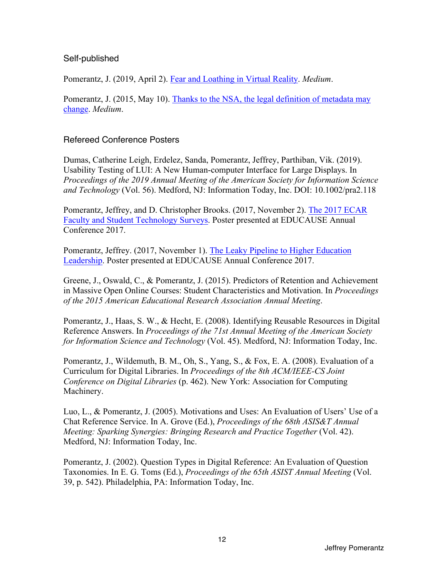#### Self-published

Pomerantz, J. (2019, April 2). Fear and Loathing in Virtual Reality. *Medium*.

 change. *Medium*. Pomerantz, J. (2015, May 10). Thanks to the NSA, the legal definition of metadata may

#### Refereed Conference Posters

 *and Technology* (Vol. 56). Medford, NJ: Information Today, Inc. DOI: 10.1002/pra2.118 Dumas, Catherine Leigh, Erdelez, Sanda, Pomerantz, Jeffrey, Parthiban, Vik. (2019). Usability Testing of LUI: A New Human-computer Interface for Large Displays. In *Proceedings of the 2019 Annual Meeting of the American Society for Information Science* 

Pomerantz, Jeffrey, and D. Christopher Brooks. (2017, November 2). The 2017 ECAR Faculty and Student Technology Surveys. Poster presented at EDUCAUSE Annual Conference 2017.

Pomerantz, Jeffrey. (2017, November 1). The Leaky Pipeline to Higher Education Leadership. Poster presented at EDUCAUSE Annual Conference 2017.

Greene, J., Oswald, C., & Pomerantz, J. (2015). Predictors of Retention and Achievement in Massive Open Online Courses: Student Characteristics and Motivation. In *Proceedings of the 2015 American Educational Research Association Annual Meeting*.

Pomerantz, J., Haas, S. W., & Hecht, E. (2008). Identifying Reusable Resources in Digital Reference Answers. In *Proceedings of the 71st Annual Meeting of the American Society for Information Science and Technology* (Vol. 45). Medford, NJ: Information Today, Inc.

Pomerantz, J., Wildemuth, B. M., Oh, S., Yang, S., & Fox, E. A. (2008). Evaluation of a Curriculum for Digital Libraries. In *Proceedings of the 8th ACM/IEEE-CS Joint Conference on Digital Libraries* (p. 462). New York: Association for Computing Machinery.

Luo, L., & Pomerantz, J. (2005). Motivations and Uses: An Evaluation of Users' Use of a Chat Reference Service. In A. Grove (Ed.), *Proceedings of the 68th ASIS&T Annual Meeting: Sparking Synergies: Bringing Research and Practice Together (Vol. 42).* Medford, NJ: Information Today, Inc.

Pomerantz, J. (2002). Question Types in Digital Reference: An Evaluation of Question Taxonomies. In E. G. Toms (Ed.), *Proceedings of the 65th ASIST Annual Meeting* (Vol. 39, p. 542). Philadelphia, PA: Information Today, Inc.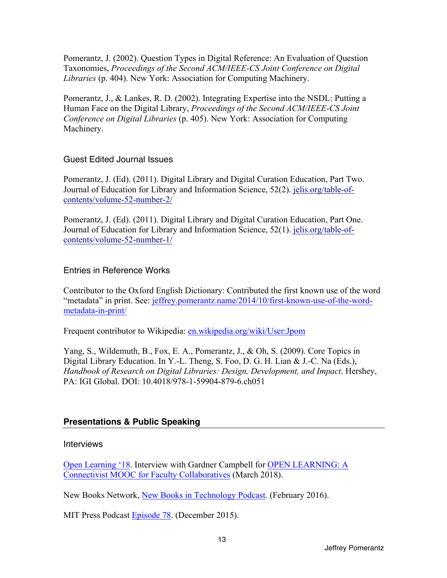Pomerantz, J. (2002). Question Types in Digital Reference: An Evaluation of Question Taxonomies, *Proceedings of the Second ACM/IEEE-CS Joint Conference on Digital Libraries* (p. 404). New York: Association for Computing Machinery.

Pomerantz, J., & Lankes, R. D. (2002). Integrating Expertise into the NSDL: Putting a Human Face on the Digital Library, *Proceedings of the Second ACM/IEEE-CS Joint Conference on Digital Libraries* (p. 405). New York: Association for Computing Machinery.

# Guest Edited Journal Issues

Pomerantz, J. (Ed). (2011). Digital Library and Digital Curation Education, Part Two. Journal of Education for Library and Information Science, 52(2). [jelis.org/table-of](https://jelis.org/table-of)contents/volume-52-number-2/

Pomerantz, J. (Ed). (2011). Digital Library and Digital Curation Education, Part One. Journal of Education for Library and Information Science, 52(1). [jelis.org/table-of](https://jelis.org/table-of)contents/volume-52-number-1/

#### Entries in Reference Works

Contributor to the Oxford English Dictionary: Contributed the first known use of the word "metadata" in print. See: jeffrey.pomerantz.name/2014/10/first-known-use-of-the-wordmetadata-in-print/

Frequent contributor to Wikipedia: en.wikipedia.org/wiki/User:Jpom

Yang, S., Wildemuth, B., Fox, E. A., Pomerantz, J., & Oh, S. (2009). Core Topics in Digital Library Education. In Y.-L. Theng, S. Foo, D. G. H. Lian & J.-C. Na (Eds.), *Handbook of Research on Digital Libraries: Design, Development, and Impact*. Hershey, PA: IGI Global. DOI: 10.4018/978-1-59904-879-6.ch051

# **Presentations & Public Speaking**

#### Interviews

Open Learning '18. Interview with Gardner Campbell for OPEN LEARNING: A Connectivist MOOC for Faculty Collaboratives (March 2018).

13

New Books Network, New Books in Technology Podcast. (February 2016).

MIT Press Podcast Episode 78. (December 2015).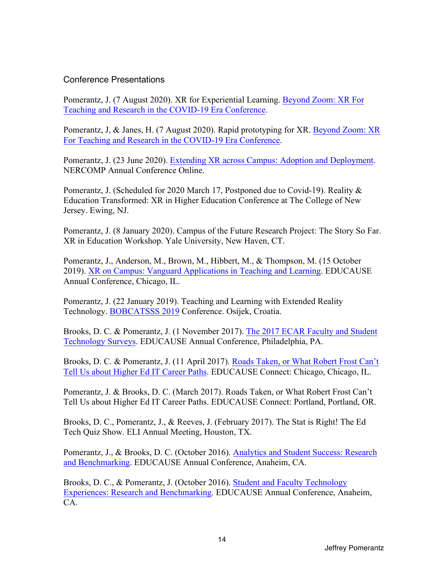#### Conference Presentations

Pomerantz, J. (7 August 2020). XR for Experiential Learning. Beyond Zoom: XR For Teaching and Research in the COVID-19 Era Conference.

Pomerantz, J, & Janes, H. (7 August 2020). Rapid prototyping for XR. Beyond Zoom: XR For Teaching and Research in the COVID-19 Era Conference.

Pomerantz, J. (23 June 2020). Extending XR across Campus: Adoption and Deployment. NERCOMP Annual Conference Online.

Pomerantz, J. (Scheduled for 2020 March 17, Postponed due to Covid-19). Reality & Education Transformed: XR in Higher Education Conference at The College of New Jersey. Ewing, NJ.

Pomerantz, J. (8 January 2020). Campus of the Future Research Project: The Story So Far. XR in Education Workshop. Yale University, New Haven, CT.

 Pomerantz, J., Anderson, M., Brown, M., Hibbert, M., & Thompson, M. (15 October 2019). XR on Campus: Vanguard Applications in Teaching and Learning. EDUCAUSE Annual Conference, Chicago, IL.

Pomerantz, J. (22 January 2019). Teaching and Learning with Extended Reality Technology. BOBCATSSS 2019 Conference. Osijek, Croatia.

Brooks, D. C. & Pomerantz, J. (1 November 2017). The 2017 ECAR Faculty and Student Technology Surveys. EDUCAUSE Annual Conference, Philadelphia, PA.

Brooks, D. C. & Pomerantz, J. (11 April 2017). Roads Taken, or What Robert Frost Can't Tell Us about Higher Ed IT Career Paths. EDUCAUSE Connect: Chicago, Chicago, IL.

Pomerantz, J. & Brooks, D. C. (March 2017). Roads Taken, or What Robert Frost Can't Tell Us about Higher Ed IT Career Paths. EDUCAUSE Connect: Portland, Portland, OR.

 Brooks, D. C., Pomerantz, J., & Reeves, J. (February 2017). The Stat is Right! The Ed Tech Quiz Show. ELI Annual Meeting, Houston, TX.

Pomerantz, J., & Brooks, D. C. (October 2016). Analytics and Student Success: Research and Benchmarking. EDUCAUSE Annual Conference, Anaheim, CA.

Brooks, D. C., & Pomerantz, J. (October 2016). Student and Faculty Technology Experiences: Research and Benchmarking. EDUCAUSE Annual Conference, Anaheim, CA.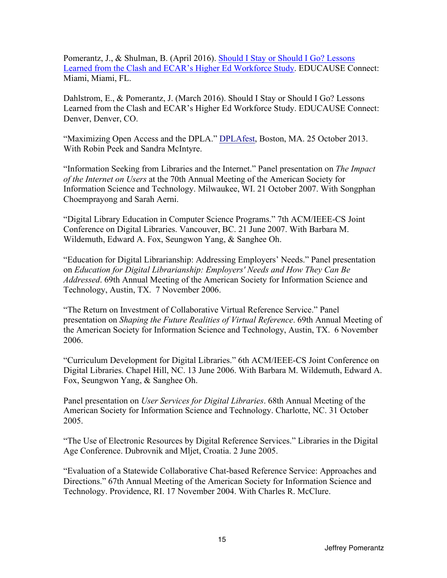Pomerantz, J., & Shulman, B. (April 2016). Should I Stay or Should I Go? Lessons Learned from the Clash and ECAR's Higher Ed Workforce Study. EDUCAUSE Connect: Miami, Miami, FL.

 Dahlstrom, E., & Pomerantz, J. (March 2016). Should I Stay or Should I Go? Lessons Learned from the Clash and ECAR's Higher Ed Workforce Study. EDUCAUSE Connect: Denver, Denver, CO.

"Maximizing Open Access and the DPLA." DPLAfest, Boston, MA. 25 October 2013. With Robin Peek and Sandra McIntyre.

"Information Seeking from Libraries and the Internet." Panel presentation on *The Impact of the Internet on Users* at the 70th Annual Meeting of the American Society for Information Science and Technology. Milwaukee, WI. 21 October 2007. With Songphan Choemprayong and Sarah Aerni.

"Digital Library Education in Computer Science Programs." 7th ACM/IEEE-CS Joint Conference on Digital Libraries. Vancouver, BC. 21 June 2007. With Barbara M. Wildemuth, Edward A. Fox, Seungwon Yang, & Sanghee Oh.

"Education for Digital Librarianship: Addressing Employers' Needs." Panel presentation on *Education for Digital Librarianship: Employers' Needs and How They Can Be Addressed*. 69th Annual Meeting of the American Society for Information Science and Technology, Austin, TX. 7 November 2006.

 "The Return on Investment of Collaborative Virtual Reference Service." Panel presentation on *Shaping the Future Realities of Virtual Reference*. 69th Annual Meeting of the American Society for Information Science and Technology, Austin, TX. 6 November 2006.

"Curriculum Development for Digital Libraries." 6th ACM/IEEE-CS Joint Conference on Digital Libraries. Chapel Hill, NC. 13 June 2006. With Barbara M. Wildemuth, Edward A. Fox, Seungwon Yang, & Sanghee Oh.

Panel presentation on *User Services for Digital Libraries*. 68th Annual Meeting of the American Society for Information Science and Technology. Charlotte, NC. 31 October 2005.

"The Use of Electronic Resources by Digital Reference Services." Libraries in the Digital Age Conference. Dubrovnik and Mljet, Croatia. 2 June 2005.

"Evaluation of a Statewide Collaborative Chat-based Reference Service: Approaches and Directions." 67th Annual Meeting of the American Society for Information Science and Technology. Providence, RI. 17 November 2004. With Charles R. McClure.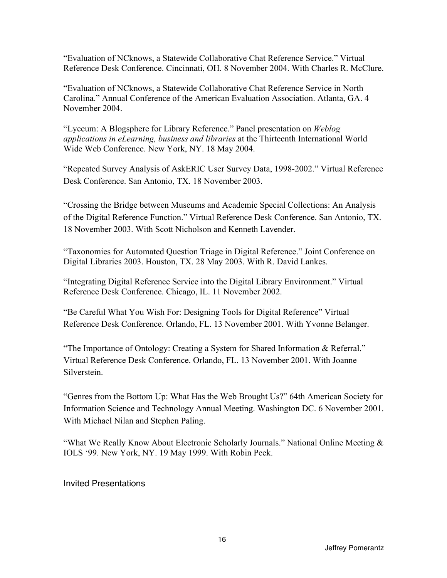"Evaluation of NCknows, a Statewide Collaborative Chat Reference Service." Virtual Reference Desk Conference. Cincinnati, OH. 8 November 2004. With Charles R. McClure.

"Evaluation of NCknows, a Statewide Collaborative Chat Reference Service in North Carolina." Annual Conference of the American Evaluation Association. Atlanta, GA. 4 November 2004.

"Lyceum: A Blogsphere for Library Reference." Panel presentation on *Weblog applications in eLearning, business and libraries* at the Thirteenth International World Wide Web Conference. New York, NY. 18 May 2004.

"Repeated Survey Analysis of AskERIC User Survey Data, 1998-2002." Virtual Reference Desk Conference. San Antonio, TX. 18 November 2003.

"Crossing the Bridge between Museums and Academic Special Collections: An Analysis of the Digital Reference Function." Virtual Reference Desk Conference. San Antonio, TX. 18 November 2003. With Scott Nicholson and Kenneth Lavender.

"Taxonomies for Automated Question Triage in Digital Reference." Joint Conference on Digital Libraries 2003. Houston, TX. 28 May 2003. With R. David Lankes.

 "Integrating Digital Reference Service into the Digital Library Environment." Virtual Reference Desk Conference. Chicago, IL. 11 November 2002.

"Be Careful What You Wish For: Designing Tools for Digital Reference" Virtual Reference Desk Conference. Orlando, FL. 13 November 2001. With Yvonne Belanger.

"The Importance of Ontology: Creating a System for Shared Information & Referral." Virtual Reference Desk Conference. Orlando, FL. 13 November 2001. With Joanne Silverstein.

"Genres from the Bottom Up: What Has the Web Brought Us?" 64th American Society for Information Science and Technology Annual Meeting. Washington DC. 6 November 2001. With Michael Nilan and Stephen Paling.

"What We Really Know About Electronic Scholarly Journals." National Online Meeting & IOLS '99. New York, NY. 19 May 1999. With Robin Peek.

Invited Presentations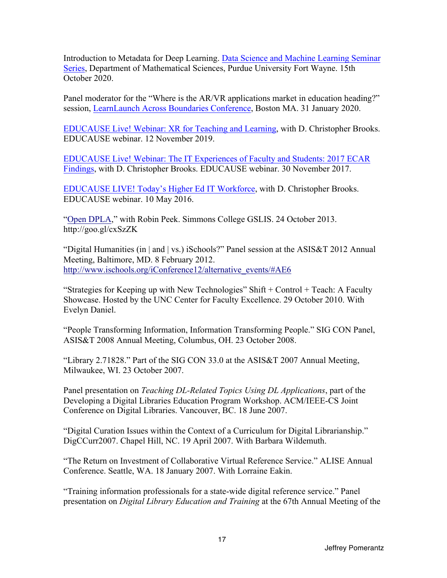Introduction to Metadata for Deep Learning. Data Science and Machine Learning Seminar Series, Department of Mathematical Sciences, Purdue University Fort Wayne. 15th October 2020.

Panel moderator for the "Where is the AR/VR applications market in education heading?" session, LearnLaunch Across Boundaries Conference, Boston MA. 31 January 2020.

EDUCAUSE Live! Webinar: XR for Teaching and Learning, with D. Christopher Brooks. EDUCAUSE webinar. 12 November 2019.

EDUCAUSE Live! Webinar: The IT Experiences of Faculty and Students: 2017 ECAR Findings, with D. Christopher Brooks. EDUCAUSE webinar. 30 November 2017.

EDUCAUSE LIVE! Today's Higher Ed IT Workforce, with D. Christopher Brooks. EDUCAUSE webinar. 10 May 2016.

"Open DPLA," with Robin Peek. Simmons College GSLIS. 24 October 2013. <http://goo.gl/cxSzZK>

"Digital Humanities (in | and | vs.) iSchools?" Panel session at the ASIS&T 2012 Annual Meeting, Baltimore, MD. 8 February 2012. http://www.ischools.org/iConference12/alternative\_events/#AE6

"Strategies for Keeping up with New Technologies" Shift + Control + Teach: A Faculty Showcase. Hosted by the UNC Center for Faculty Excellence. 29 October 2010. With Evelyn Daniel.

"People Transforming Information, Information Transforming People." SIG CON Panel, ASIS&T 2008 Annual Meeting, Columbus, OH. 23 October 2008.

"Library 2.71828." Part of the SIG CON 33.0 at the ASIS&T 2007 Annual Meeting, Milwaukee, WI. 23 October 2007.

Panel presentation on *Teaching DL-Related Topics Using DL Applications*, part of the Developing a Digital Libraries Education Program Workshop. ACM/IEEE-CS Joint Conference on Digital Libraries. Vancouver, BC. 18 June 2007.

"Digital Curation Issues within the Context of a Curriculum for Digital Librarianship." DigCCurr2007. Chapel Hill, NC. 19 April 2007. With Barbara Wildemuth.

"The Return on Investment of Collaborative Virtual Reference Service." ALISE Annual Conference. Seattle, WA. 18 January 2007. With Lorraine Eakin.

"Training information professionals for a state-wide digital reference service." Panel presentation on *Digital Library Education and Training* at the 67th Annual Meeting of the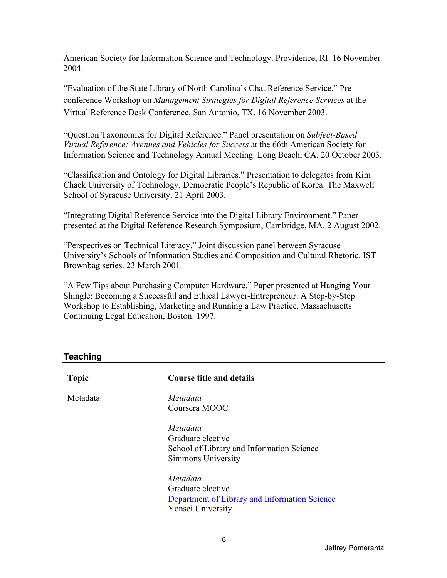American Society for Information Science and Technology. Providence, RI. 16 November 2004.

 conference Workshop on *Management Strategies for Digital Reference Services* at the "Evaluation of the State Library of North Carolina's Chat Reference Service." Pre-Virtual Reference Desk Conference. San Antonio, TX. 16 November 2003.

"Question Taxonomies for Digital Reference." Panel presentation on *Subject-Based Virtual Reference: Avenues and Vehicles for Success* at the 66th American Society for Information Science and Technology Annual Meeting. Long Beach, CA. 20 October 2003.

"Classification and Ontology for Digital Libraries." Presentation to delegates from Kim Chaek University of Technology, Democratic People's Republic of Korea. The Maxwell School of Syracuse University. 21 April 2003.

"Integrating Digital Reference Service into the Digital Library Environment." Paper presented at the Digital Reference Research Symposium, Cambridge, MA. 2 August 2002.

"Perspectives on Technical Literacy." Joint discussion panel between Syracuse University's Schools of Information Studies and Composition and Cultural Rhetoric. IST Brownbag series. 23 March 2001.

"A Few Tips about Purchasing Computer Hardware." Paper presented at Hanging Your Shingle: Becoming a Successful and Ethical Lawyer-Entrepreneur: A Step-by-Step Workshop to Establishing, Marketing and Running a Law Practice. Massachusetts Continuing Legal Education, Boston. 1997.

#### **Teaching**

| <b>Topic</b> | <b>Course title and details</b>                                                                     |
|--------------|-----------------------------------------------------------------------------------------------------|
| Metadata     | Metadata<br>Coursera MOOC                                                                           |
|              | Metadata<br>Graduate elective<br>School of Library and Information Science<br>Simmons University    |
|              | Metadata<br>Graduate elective<br>Department of Library and Information Science<br>Yonsei University |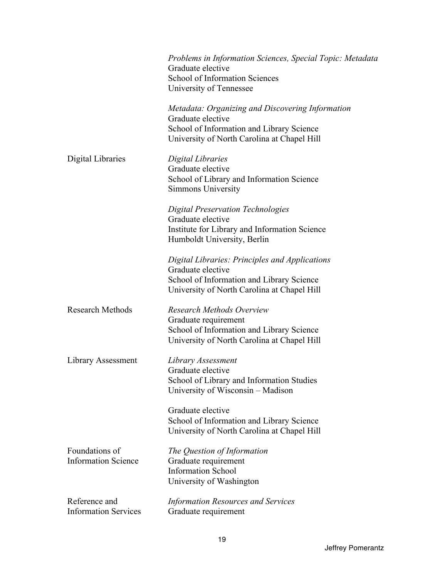|                                              | Problems in Information Sciences, Special Topic: Metadata<br>Graduate elective<br>School of Information Sciences<br>University of Tennessee                       |
|----------------------------------------------|-------------------------------------------------------------------------------------------------------------------------------------------------------------------|
|                                              | Metadata: Organizing and Discovering Information<br>Graduate elective<br>School of Information and Library Science<br>University of North Carolina at Chapel Hill |
| Digital Libraries                            | Digital Libraries<br>Graduate elective<br>School of Library and Information Science<br>Simmons University                                                         |
|                                              | <b>Digital Preservation Technologies</b><br>Graduate elective<br>Institute for Library and Information Science<br>Humboldt University, Berlin                     |
|                                              | Digital Libraries: Principles and Applications<br>Graduate elective<br>School of Information and Library Science<br>University of North Carolina at Chapel Hill   |
| <b>Research Methods</b>                      | <b>Research Methods Overview</b><br>Graduate requirement<br>School of Information and Library Science<br>University of North Carolina at Chapel Hill              |
| Library Assessment                           | Library Assessment<br>Graduate elective<br>School of Library and Information Studies<br>University of Wisconsin - Madison                                         |
|                                              | Graduate elective<br>School of Information and Library Science<br>University of North Carolina at Chapel Hill                                                     |
| Foundations of<br><b>Information Science</b> | The Question of Information<br>Graduate requirement<br><b>Information School</b><br>University of Washington                                                      |
| Reference and<br><b>Information Services</b> | <b>Information Resources and Services</b><br>Graduate requirement                                                                                                 |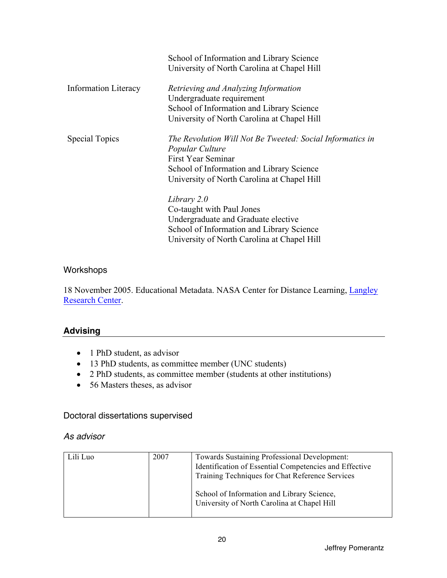|                             | School of Information and Library Science<br>University of North Carolina at Chapel Hill                                                                                                              |
|-----------------------------|-------------------------------------------------------------------------------------------------------------------------------------------------------------------------------------------------------|
| <b>Information Literacy</b> | Retrieving and Analyzing Information<br>Undergraduate requirement<br>School of Information and Library Science<br>University of North Carolina at Chapel Hill                                         |
| <b>Special Topics</b>       | The Revolution Will Not Be Tweeted: Social Informatics in<br>Popular Culture<br><b>First Year Seminar</b><br>School of Information and Library Science<br>University of North Carolina at Chapel Hill |
|                             | Library 2.0<br>Co-taught with Paul Jones<br>Undergraduate and Graduate elective<br>School of Information and Library Science<br>University of North Carolina at Chapel Hill                           |

# Workshops

18 November 2005. Educational Metadata. NASA Center for Distance Learning, Langley Research Center.

# **Advising**

- 1 PhD student, as advisor
- 13 PhD students, as committee member (UNC students)
- 2 PhD students, as committee member (students at other institutions)
- 56 Masters theses, as advisor

#### Doctoral dissertations supervised

#### *As advisor*

| Lili Luo | 2007 | <b>Towards Sustaining Professional Development:</b>    |
|----------|------|--------------------------------------------------------|
|          |      | Identification of Essential Competencies and Effective |
|          |      | Training Techniques for Chat Reference Services        |
|          |      |                                                        |
|          |      | School of Information and Library Science,             |
|          |      | University of North Carolina at Chapel Hill            |
|          |      |                                                        |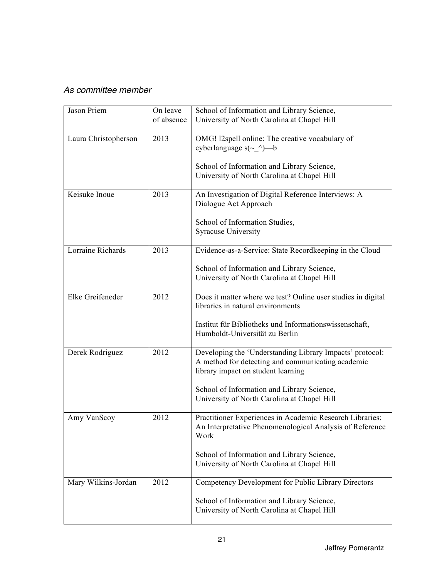# *As committee member*

| Jason Priem          | On leave<br>of absence | School of Information and Library Science,<br>University of North Carolina at Chapel Hill                                                                                                                                                        |
|----------------------|------------------------|--------------------------------------------------------------------------------------------------------------------------------------------------------------------------------------------------------------------------------------------------|
| Laura Christopherson | 2013                   | OMG! l2spell online: The creative vocabulary of<br>cyberlanguage $s(\sim \wedge)$ —b<br>School of Information and Library Science,<br>University of North Carolina at Chapel Hill                                                                |
| Keisuke Inoue        | 2013                   | An Investigation of Digital Reference Interviews: A<br>Dialogue Act Approach<br>School of Information Studies,<br>Syracuse University                                                                                                            |
| Lorraine Richards    | 2013                   | Evidence-as-a-Service: State Recordkeeping in the Cloud<br>School of Information and Library Science,<br>University of North Carolina at Chapel Hill                                                                                             |
| Elke Greifeneder     | 2012                   | Does it matter where we test? Online user studies in digital<br>libraries in natural environments<br>Institut für Bibliotheks und Informationswissenschaft,<br>Humboldt-Universität zu Berlin                                                    |
| Derek Rodriguez      | 2012                   | Developing the 'Understanding Library Impacts' protocol:<br>A method for detecting and communicating academic<br>library impact on student learning<br>School of Information and Library Science,<br>University of North Carolina at Chapel Hill |
| Amy VanScoy          | 2012                   | Practitioner Experiences in Academic Research Libraries:<br>An Interpretative Phenomenological Analysis of Reference<br>Work<br>School of Information and Library Science,<br>University of North Carolina at Chapel Hill                        |
| Mary Wilkins-Jordan  | 2012                   | Competency Development for Public Library Directors<br>School of Information and Library Science,<br>University of North Carolina at Chapel Hill                                                                                                 |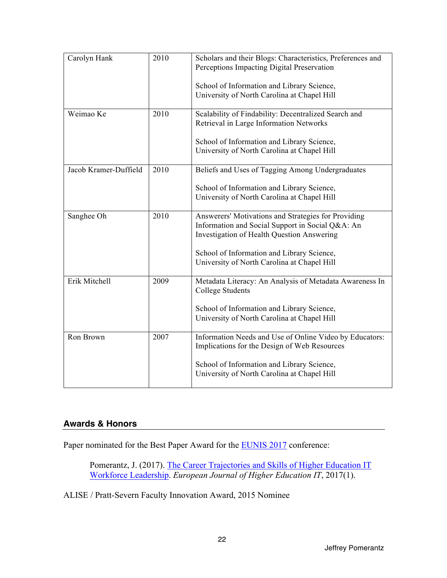| Carolyn Hank          | 2010 | Scholars and their Blogs: Characteristics, Preferences and<br>Perceptions Impacting Digital Preservation<br>School of Information and Library Science,<br>University of North Carolina at Chapel Hill                                              |
|-----------------------|------|----------------------------------------------------------------------------------------------------------------------------------------------------------------------------------------------------------------------------------------------------|
| Weimao Ke             | 2010 | Scalability of Findability: Decentralized Search and<br>Retrieval in Large Information Networks<br>School of Information and Library Science,<br>University of North Carolina at Chapel Hill                                                       |
| Jacob Kramer-Duffield | 2010 | Beliefs and Uses of Tagging Among Undergraduates<br>School of Information and Library Science,<br>University of North Carolina at Chapel Hill                                                                                                      |
| Sanghee Oh            | 2010 | Answerers' Motivations and Strategies for Providing<br>Information and Social Support in Social Q&A: An<br>Investigation of Health Question Answering<br>School of Information and Library Science,<br>University of North Carolina at Chapel Hill |
| Erik Mitchell         | 2009 | Metadata Literacy: An Analysis of Metadata Awareness In<br><b>College Students</b><br>School of Information and Library Science,<br>University of North Carolina at Chapel Hill                                                                    |
| Ron Brown             | 2007 | Information Needs and Use of Online Video by Educators:<br>Implications for the Design of Web Resources<br>School of Information and Library Science,<br>University of North Carolina at Chapel Hill                                               |

#### **Awards & Honors**

Paper nominated for the Best Paper Award for the **EUNIS 2017** conference:

Pomerantz, J. (2017). The Career Trajectories and Skills of Higher Education IT Workforce Leadership. *European Journal of Higher Education IT*, 2017(1).

ALISE / Pratt-Severn Faculty Innovation Award, 2015 Nominee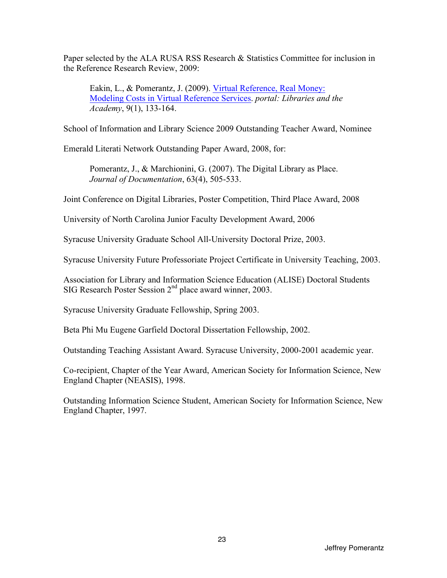Paper selected by the ALA RUSA RSS Research & Statistics Committee for inclusion in the Reference Research Review, 2009:

Eakin, L., & Pomerantz, J. (2009). Virtual Reference, Real Money: Modeling Costs in Virtual Reference Services. *portal: Libraries and the Academy*, 9(1), 133-164.

School of Information and Library Science 2009 Outstanding Teacher Award, Nominee

Emerald Literati Network Outstanding Paper Award, 2008, for:

Pomerantz, J., & Marchionini, G. (2007). The Digital Library as Place. *Journal of Documentation*, 63(4), 505-533.

Joint Conference on Digital Libraries, Poster Competition, Third Place Award, 2008

University of North Carolina Junior Faculty Development Award, 2006

Syracuse University Graduate School All-University Doctoral Prize, 2003.

Syracuse University Future Professoriate Project Certificate in University Teaching, 2003.

Association for Library and Information Science Education (ALISE) Doctoral Students SIG Research Poster Session 2<sup>nd</sup> place award winner, 2003.

Syracuse University Graduate Fellowship, Spring 2003.

Beta Phi Mu Eugene Garfield Doctoral Dissertation Fellowship, 2002.

Outstanding Teaching Assistant Award. Syracuse University, 2000-2001 academic year.

Co-recipient, Chapter of the Year Award, American Society for Information Science, New England Chapter (NEASIS), 1998.

Outstanding Information Science Student, American Society for Information Science, New England Chapter, 1997.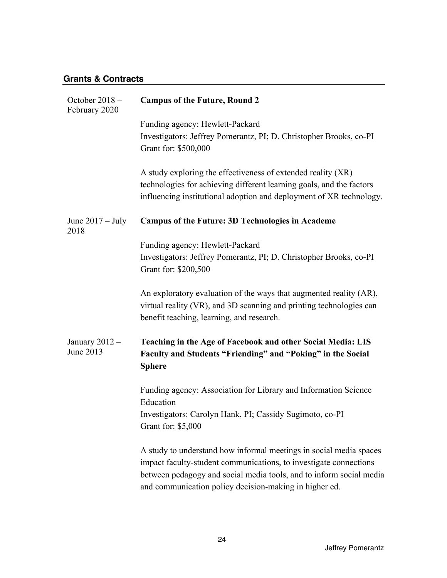# **Grants & Contracts**

| October 2018 -<br>February 2020 | <b>Campus of the Future, Round 2</b>                                                                                                                                                                                                                                     |
|---------------------------------|--------------------------------------------------------------------------------------------------------------------------------------------------------------------------------------------------------------------------------------------------------------------------|
|                                 | Funding agency: Hewlett-Packard<br>Investigators: Jeffrey Pomerantz, PI; D. Christopher Brooks, co-PI<br>Grant for: \$500,000                                                                                                                                            |
|                                 | A study exploring the effectiveness of extended reality (XR)<br>technologies for achieving different learning goals, and the factors<br>influencing institutional adoption and deployment of XR technology.                                                              |
| June $2017 -$ July<br>2018      | <b>Campus of the Future: 3D Technologies in Academe</b>                                                                                                                                                                                                                  |
|                                 | Funding agency: Hewlett-Packard<br>Investigators: Jeffrey Pomerantz, PI; D. Christopher Brooks, co-PI<br>Grant for: \$200,500                                                                                                                                            |
|                                 | An exploratory evaluation of the ways that augmented reality (AR),<br>virtual reality (VR), and 3D scanning and printing technologies can<br>benefit teaching, learning, and research.                                                                                   |
| January $2012 -$<br>June 2013   | Teaching in the Age of Facebook and other Social Media: LIS<br>Faculty and Students "Friending" and "Poking" in the Social<br><b>Sphere</b>                                                                                                                              |
|                                 | Funding agency: Association for Library and Information Science<br>Education                                                                                                                                                                                             |
|                                 | Investigators: Carolyn Hank, PI; Cassidy Sugimoto, co-PI<br>Grant for: \$5,000                                                                                                                                                                                           |
|                                 | A study to understand how informal meetings in social media spaces<br>impact faculty-student communications, to investigate connections<br>between pedagogy and social media tools, and to inform social media<br>and communication policy decision-making in higher ed. |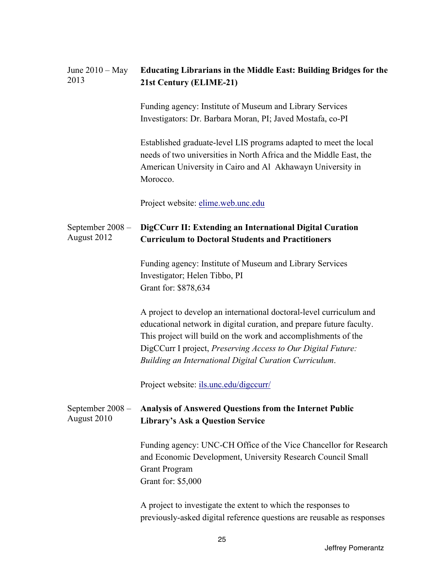| June $2010 - May$<br>2013       | <b>Educating Librarians in the Middle East: Building Bridges for the</b><br>21st Century (ELIME-21)                                                                                                                                                                                                                                     |
|---------------------------------|-----------------------------------------------------------------------------------------------------------------------------------------------------------------------------------------------------------------------------------------------------------------------------------------------------------------------------------------|
|                                 | Funding agency: Institute of Museum and Library Services<br>Investigators: Dr. Barbara Moran, PI; Javed Mostafa, co-PI                                                                                                                                                                                                                  |
|                                 | Established graduate-level LIS programs adapted to meet the local<br>needs of two universities in North Africa and the Middle East, the<br>American University in Cairo and Al Akhawayn University in<br>Morocco.                                                                                                                       |
|                                 | Project website: elime.web.unc.edu                                                                                                                                                                                                                                                                                                      |
| September 2008 -<br>August 2012 | DigCCurr II: Extending an International Digital Curation<br><b>Curriculum to Doctoral Students and Practitioners</b>                                                                                                                                                                                                                    |
|                                 | Funding agency: Institute of Museum and Library Services<br>Investigator; Helen Tibbo, PI<br>Grant for: \$878,634                                                                                                                                                                                                                       |
|                                 | A project to develop an international doctoral-level curriculum and<br>educational network in digital curation, and prepare future faculty.<br>This project will build on the work and accomplishments of the<br>DigCCurr I project, Preserving Access to Our Digital Future:<br>Building an International Digital Curation Curriculum. |
|                                 | Project website: ils.unc.edu/digccurr/                                                                                                                                                                                                                                                                                                  |
| September 2008 -<br>August 2010 | <b>Analysis of Answered Questions from the Internet Public</b><br><b>Library's Ask a Question Service</b>                                                                                                                                                                                                                               |
|                                 | Funding agency: UNC-CH Office of the Vice Chancellor for Research<br>and Economic Development, University Research Council Small<br><b>Grant Program</b><br>Grant for: \$5,000                                                                                                                                                          |
|                                 | A project to investigate the extent to which the responses to<br>previously-asked digital reference questions are reusable as responses                                                                                                                                                                                                 |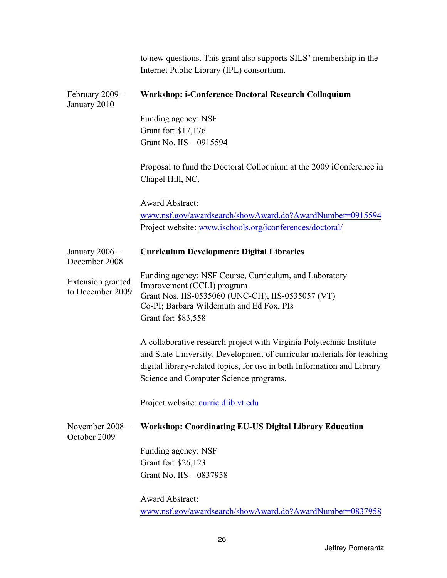|                                       | to new questions. This grant also supports SILS' membership in the<br>Internet Public Library (IPL) consortium.                                                                                                                                                     |
|---------------------------------------|---------------------------------------------------------------------------------------------------------------------------------------------------------------------------------------------------------------------------------------------------------------------|
| February $2009 -$<br>January 2010     | <b>Workshop: i-Conference Doctoral Research Colloquium</b>                                                                                                                                                                                                          |
|                                       | Funding agency: NSF                                                                                                                                                                                                                                                 |
|                                       | Grant for: \$17,176                                                                                                                                                                                                                                                 |
|                                       | Grant No. IIS - 0915594                                                                                                                                                                                                                                             |
|                                       | Proposal to fund the Doctoral Colloquium at the 2009 iConference in<br>Chapel Hill, NC.                                                                                                                                                                             |
|                                       | <b>Award Abstract:</b>                                                                                                                                                                                                                                              |
|                                       | www.nsf.gov/awardsearch/showAward.do?AwardNumber=0915594                                                                                                                                                                                                            |
|                                       | Project website: www.ischools.org/iconferences/doctoral/                                                                                                                                                                                                            |
| January $2006 -$<br>December 2008     | <b>Curriculum Development: Digital Libraries</b>                                                                                                                                                                                                                    |
| Extension granted<br>to December 2009 | Funding agency: NSF Course, Curriculum, and Laboratory<br>Improvement (CCLI) program<br>Grant Nos. IIS-0535060 (UNC-CH), IIS-0535057 (VT)<br>Co-PI; Barbara Wildemuth and Ed Fox, PIs<br>Grant for: \$83,558                                                        |
|                                       | A collaborative research project with Virginia Polytechnic Institute<br>and State University. Development of curricular materials for teaching<br>digital library-related topics, for use in both Information and Library<br>Science and Computer Science programs. |
|                                       | Project website: curric.dlib.vt.edu                                                                                                                                                                                                                                 |
| November $2008 -$<br>October 2009     | <b>Workshop: Coordinating EU-US Digital Library Education</b>                                                                                                                                                                                                       |
|                                       | Funding agency: NSF                                                                                                                                                                                                                                                 |
|                                       | Grant for: \$26,123                                                                                                                                                                                                                                                 |
|                                       | Grant No. IIS - 0837958                                                                                                                                                                                                                                             |
|                                       | <b>Award Abstract:</b>                                                                                                                                                                                                                                              |
|                                       | www.nsf.gov/awardsearch/showAward.do?AwardNumber=0837958                                                                                                                                                                                                            |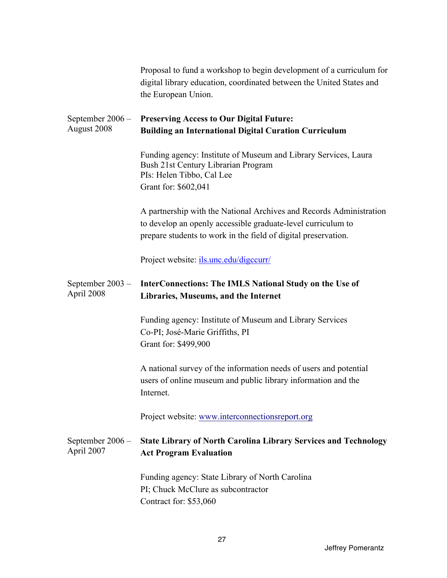|                                 | Proposal to fund a workshop to begin development of a curriculum for<br>digital library education, coordinated between the United States and<br>the European Union.                                   |
|---------------------------------|-------------------------------------------------------------------------------------------------------------------------------------------------------------------------------------------------------|
| September 2006 -<br>August 2008 | <b>Preserving Access to Our Digital Future:</b><br><b>Building an International Digital Curation Curriculum</b>                                                                                       |
|                                 | Funding agency: Institute of Museum and Library Services, Laura<br>Bush 21st Century Librarian Program<br>PIs: Helen Tibbo, Cal Lee<br>Grant for: \$602,041                                           |
|                                 | A partnership with the National Archives and Records Administration<br>to develop an openly accessible graduate-level curriculum to<br>prepare students to work in the field of digital preservation. |
|                                 | Project website: ils.unc.edu/digccurr/                                                                                                                                                                |
| September 2003 -<br>April 2008  | <b>InterConnections: The IMLS National Study on the Use of</b><br>Libraries, Museums, and the Internet                                                                                                |
|                                 | Funding agency: Institute of Museum and Library Services<br>Co-PI; José-Marie Griffiths, PI<br>Grant for: \$499,900                                                                                   |
|                                 | A national survey of the information needs of users and potential<br>users of online museum and public library information and the<br>Internet.                                                       |
|                                 | Project website: www.interconnectionsreport.org                                                                                                                                                       |
| September 2006 -<br>April 2007  | <b>State Library of North Carolina Library Services and Technology</b><br><b>Act Program Evaluation</b>                                                                                               |
|                                 | Funding agency: State Library of North Carolina<br>PI; Chuck McClure as subcontractor<br>Contract for: \$53,060                                                                                       |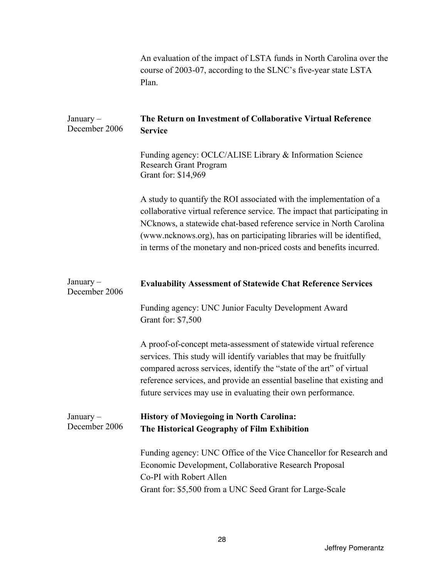|                              | An evaluation of the impact of LSTA funds in North Carolina over the<br>course of 2003-07, according to the SLNC's five-year state LSTA<br>Plan.                                                                                                                                                                                                                         |
|------------------------------|--------------------------------------------------------------------------------------------------------------------------------------------------------------------------------------------------------------------------------------------------------------------------------------------------------------------------------------------------------------------------|
| $January -$<br>December 2006 | The Return on Investment of Collaborative Virtual Reference<br><b>Service</b>                                                                                                                                                                                                                                                                                            |
|                              | Funding agency: OCLC/ALISE Library & Information Science<br>Research Grant Program<br>Grant for: \$14,969                                                                                                                                                                                                                                                                |
|                              | A study to quantify the ROI associated with the implementation of a<br>collaborative virtual reference service. The impact that participating in<br>NCknows, a statewide chat-based reference service in North Carolina<br>(www.ncknows.org), has on participating libraries will be identified,<br>in terms of the monetary and non-priced costs and benefits incurred. |
|                              |                                                                                                                                                                                                                                                                                                                                                                          |
| $January -$<br>December 2006 | <b>Evaluability Assessment of Statewide Chat Reference Services</b>                                                                                                                                                                                                                                                                                                      |
|                              | Funding agency: UNC Junior Faculty Development Award<br>Grant for: \$7,500                                                                                                                                                                                                                                                                                               |
|                              | A proof-of-concept meta-assessment of statewide virtual reference<br>services. This study will identify variables that may be fruitfully<br>compared across services, identify the "state of the art" of virtual<br>reference services, and provide an essential baseline that existing and<br>future services may use in evaluating their own performance.              |
| $January -$<br>December 2006 | <b>History of Moviegoing in North Carolina:</b><br>The Historical Geography of Film Exhibition                                                                                                                                                                                                                                                                           |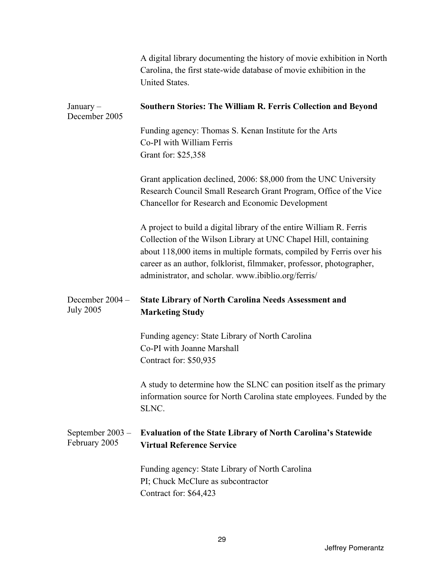|                                     | A digital library documenting the history of movie exhibition in North<br>Carolina, the first state-wide database of movie exhibition in the<br>United States.                                                                                                                                                                                 |
|-------------------------------------|------------------------------------------------------------------------------------------------------------------------------------------------------------------------------------------------------------------------------------------------------------------------------------------------------------------------------------------------|
| January $-$<br>December 2005        | Southern Stories: The William R. Ferris Collection and Beyond                                                                                                                                                                                                                                                                                  |
|                                     | Funding agency: Thomas S. Kenan Institute for the Arts<br>Co-PI with William Ferris<br>Grant for: \$25,358                                                                                                                                                                                                                                     |
|                                     | Grant application declined, 2006: \$8,000 from the UNC University<br>Research Council Small Research Grant Program, Office of the Vice<br>Chancellor for Research and Economic Development                                                                                                                                                     |
|                                     | A project to build a digital library of the entire William R. Ferris<br>Collection of the Wilson Library at UNC Chapel Hill, containing<br>about 118,000 items in multiple formats, compiled by Ferris over his<br>career as an author, folklorist, filmmaker, professor, photographer,<br>administrator, and scholar. www.ibiblio.org/ferris/ |
| December 2004 -<br><b>July 2005</b> | <b>State Library of North Carolina Needs Assessment and</b><br><b>Marketing Study</b>                                                                                                                                                                                                                                                          |
|                                     | Funding agency: State Library of North Carolina<br>Co-PI with Joanne Marshall<br>Contract for: \$50,935                                                                                                                                                                                                                                        |
|                                     | A study to determine how the SLNC can position itself as the primary<br>information source for North Carolina state employees. Funded by the<br>SLNC.                                                                                                                                                                                          |
| September $2003 -$<br>February 2005 | <b>Evaluation of the State Library of North Carolina's Statewide</b><br><b>Virtual Reference Service</b>                                                                                                                                                                                                                                       |
|                                     | Funding agency: State Library of North Carolina<br>PI; Chuck McClure as subcontractor<br>Contract for: \$64,423                                                                                                                                                                                                                                |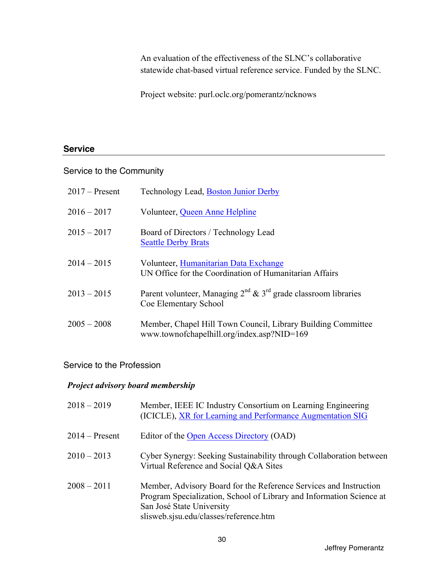An evaluation of the effectiveness of the SLNC's collaborative statewide chat-based virtual reference service. Funded by the SLNC.

Project website: [purl.oclc.org/pomerantz/ncknows](https://purl.oclc.org/pomerantz/ncknows) 

#### **Service**

#### Service to the Community

| $2017$ – Present | Technology Lead, Boston Junior Derby                                                                       |
|------------------|------------------------------------------------------------------------------------------------------------|
| $2016 - 2017$    | Volunteer, Queen Anne Helpline                                                                             |
| $2015 - 2017$    | Board of Directors / Technology Lead<br><b>Seattle Derby Brats</b>                                         |
| $2014 - 2015$    | Volunteer, Humanitarian Data Exchange<br>UN Office for the Coordination of Humanitarian Affairs            |
| $2013 - 2015$    | Parent volunteer, Managing $2^{nd}$ & $3^{rd}$ grade classroom libraries<br>Coe Elementary School          |
| $2005 - 2008$    | Member, Chapel Hill Town Council, Library Building Committee<br>www.townofchapelhill.org/index.asp?NID=169 |

# Service to the Profession

#### *Project advisory board membership*

| $2018 - 2019$    | Member, IEEE IC Industry Consortium on Learning Engineering<br>(ICICLE), XR for Learning and Performance Augmentation SIG                                                                                        |
|------------------|------------------------------------------------------------------------------------------------------------------------------------------------------------------------------------------------------------------|
| $2014 -$ Present | Editor of the Open Access Directory (OAD)                                                                                                                                                                        |
| $2010 - 2013$    | Cyber Synergy: Seeking Sustainability through Collaboration between<br>Virtual Reference and Social Q&A Sites                                                                                                    |
| $2008 - 2011$    | Member, Advisory Board for the Reference Services and Instruction<br>Program Specialization, School of Library and Information Science at<br>San José State University<br>slisweb.sjsu.edu/classes/reference.htm |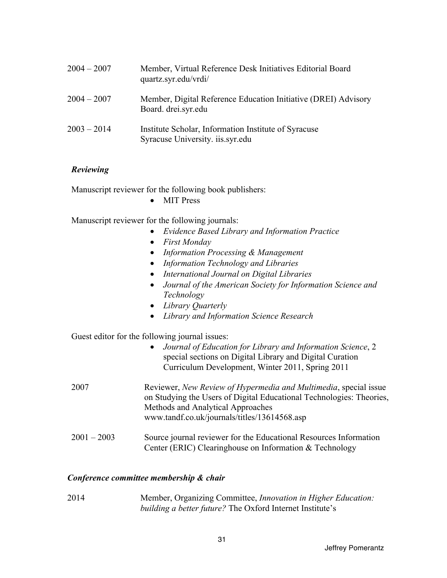| $2004 - 2007$ | Member, Virtual Reference Desk Initiatives Editorial Board<br>quartz.syr.edu/vrdi/       |
|---------------|------------------------------------------------------------------------------------------|
| $2004 - 2007$ | Member, Digital Reference Education Initiative (DREI) Advisory<br>Board. drei.syr.edu    |
| $2003 - 2014$ | Institute Scholar, Information Institute of Syracuse<br>Syracuse University. iis.syr.edu |

#### *Reviewing*

Manuscript reviewer for the following book publishers:

• MIT Press

Manuscript reviewer for the following journals:

- *Evidence Based Library and Information Practice*
- *First Monday*
- *Information Processing & Management*
- *Information Technology and Libraries*
- *International Journal on Digital Libraries*
- *Journal of the American Society for Information Science and Technology*
- *Library Quarterly*
- *Library and Information Science Research*

Guest editor for the following journal issues:

| • Journal of Education for Library and Information Science, 2 |
|---------------------------------------------------------------|
| special sections on Digital Library and Digital Curation      |
| Curriculum Development, Winter 2011, Spring 2011              |

| 2007 | Reviewer, New Review of Hypermedia and Multimedia, special issue     |
|------|----------------------------------------------------------------------|
|      | on Studying the Users of Digital Educational Technologies: Theories, |
|      | Methods and Analytical Approaches                                    |
|      | www.tandf.co.uk/journals/titles/13614568.asp                         |
|      |                                                                      |

 $2001 - 2003$ Source journal reviewer for the Educational Resources Information Center (ERIC) Clearinghouse on Information & Technology

#### *Conference committee membership & chair*

2014 Member, Organizing Committee, *Innovation in Higher Education: building a better future?* The Oxford Internet Institute's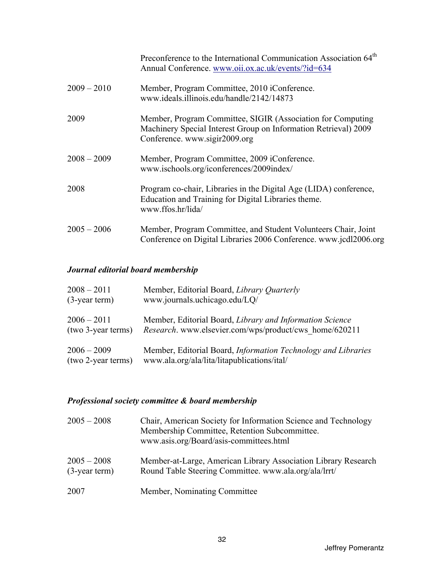|               | Preconference to the International Communication Association 64 <sup>th</sup><br>Annual Conference. www.oii.ox.ac.uk/events/?id=634                             |
|---------------|-----------------------------------------------------------------------------------------------------------------------------------------------------------------|
| $2009 - 2010$ | Member, Program Committee, 2010 iConference.<br>www.ideals.illinois.edu/handle/2142/14873                                                                       |
| 2009          | Member, Program Committee, SIGIR (Association for Computing<br>Machinery Special Interest Group on Information Retrieval) 2009<br>Conference. www.sigir2009.org |
| $2008 - 2009$ | Member, Program Committee, 2009 iConference.<br>www.ischools.org/iconferences/2009index/                                                                        |
| 2008          | Program co-chair, Libraries in the Digital Age (LIDA) conference,<br>Education and Training for Digital Libraries theme.<br>www.ffos.hr/lida/                   |
| $2005 - 2006$ | Member, Program Committee, and Student Volunteers Chair, Joint<br>Conference on Digital Libraries 2006 Conference. www.jcdl2006.org                             |

# *Journal editorial board membership*

| $2008 - 2011$      | Member, Editorial Board, Library Quarterly                    |
|--------------------|---------------------------------------------------------------|
| $(3$ -year term)   | www.journals.uchicago.edu/LQ/                                 |
| $2006 - 2011$      | Member, Editorial Board, Library and Information Science      |
| (two 3-year terms) | <i>Research.</i> www.elsevier.com/wps/product/cws home/620211 |
| $2006 - 2009$      | Member, Editorial Board, Information Technology and Libraries |
| (two 2-year terms) | www.ala.org/ala/lita/litapublications/ital/                   |

# *Professional society committee & board membership*

| $2005 - 2008$                     | Chair, American Society for Information Science and Technology<br>Membership Committee, Retention Subcommittee.<br>www.asis.org/Board/asis-committees.html |
|-----------------------------------|------------------------------------------------------------------------------------------------------------------------------------------------------------|
| $2005 - 2008$<br>$(3$ -year term) | Member-at-Large, American Library Association Library Research<br>Round Table Steering Committee. www.ala.org/ala/lrrt/                                    |
| 2007                              | Member, Nominating Committee                                                                                                                               |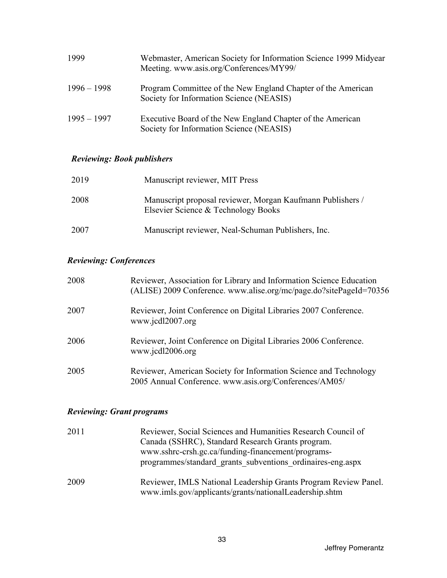| 1999          | Webmaster, American Society for Information Science 1999 Midyear<br>Meeting. www.asis.org/Conferences/MY99/ |
|---------------|-------------------------------------------------------------------------------------------------------------|
| $1996 - 1998$ | Program Committee of the New England Chapter of the American<br>Society for Information Science (NEASIS)    |
| $1995 - 1997$ | Executive Board of the New England Chapter of the American<br>Society for Information Science (NEASIS)      |

# *Reviewing: Book publishers*

| 2019 | Manuscript reviewer, MIT Press                                                                    |
|------|---------------------------------------------------------------------------------------------------|
| 2008 | Manuscript proposal reviewer, Morgan Kaufmann Publishers /<br>Elsevier Science & Technology Books |
| 2007 | Manuscript reviewer, Neal-Schuman Publishers, Inc.                                                |

# *Reviewing: Conferences*

| 2008 | Reviewer, Association for Library and Information Science Education<br>(ALISE) 2009 Conference. www.alise.org/mc/page.do?sitePageId=70356 |
|------|-------------------------------------------------------------------------------------------------------------------------------------------|
| 2007 | Reviewer, Joint Conference on Digital Libraries 2007 Conference.<br>www.jcdl2007.org                                                      |
| 2006 | Reviewer, Joint Conference on Digital Libraries 2006 Conference.<br>www.jcdl2006.org                                                      |
| 2005 | Reviewer, American Society for Information Science and Technology<br>2005 Annual Conference. www.asis.org/Conferences/AM05/               |

# *Reviewing: Grant programs*

| 2011 | Reviewer, Social Sciences and Humanities Research Council of                                                              |
|------|---------------------------------------------------------------------------------------------------------------------------|
|      | Canada (SSHRC), Standard Research Grants program.                                                                         |
|      | www.sshrc-crsh.gc.ca/funding-financement/programs-                                                                        |
|      | programmes/standard grants subventions ordinaires-eng.aspx                                                                |
| 2009 | Reviewer, IMLS National Leadership Grants Program Review Panel.<br>www.imls.gov/applicants/grants/nationalLeadership.shtm |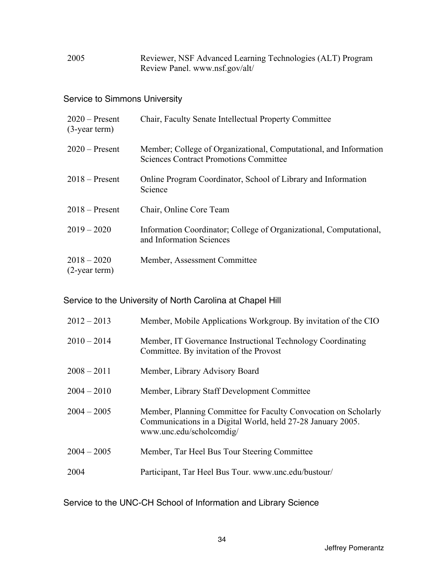2005 Reviewer, NSF Advanced Learning Technologies (ALT) Program Review Panel. [www.nsf.gov/alt/](www.nsf.gov/alt)

## Service to Simmons University

| $2020$ – Present<br>$(3$ -year term) | Chair, Faculty Senate Intellectual Property Committee                                                              |
|--------------------------------------|--------------------------------------------------------------------------------------------------------------------|
| $2020$ – Present                     | Member; College of Organizational, Computational, and Information<br><b>Sciences Contract Promotions Committee</b> |
| $2018$ – Present                     | Online Program Coordinator, School of Library and Information<br>Science                                           |
| $2018 -$ Present                     | Chair, Online Core Team                                                                                            |
| $2019 - 2020$                        | Information Coordinator; College of Organizational, Computational,<br>and Information Sciences                     |
| $2018 - 2020$<br>$(2$ -year term)    | Member, Assessment Committee                                                                                       |

Service to the University of North Carolina at Chapel Hill

| $2012 - 2013$ | Member, Mobile Applications Workgroup. By invitation of the CIO                                                                                            |
|---------------|------------------------------------------------------------------------------------------------------------------------------------------------------------|
| $2010 - 2014$ | Member, IT Governance Instructional Technology Coordinating<br>Committee. By invitation of the Provost                                                     |
| $2008 - 2011$ | Member, Library Advisory Board                                                                                                                             |
| $2004 - 2010$ | Member, Library Staff Development Committee                                                                                                                |
| $2004 - 2005$ | Member, Planning Committee for Faculty Convocation on Scholarly<br>Communications in a Digital World, held 27-28 January 2005.<br>www.unc.edu/scholcomdig/ |
| $2004 - 2005$ | Member, Tar Heel Bus Tour Steering Committee                                                                                                               |
| 2004          | Participant, Tar Heel Bus Tour. www.unc.edu/bustour/                                                                                                       |

Service to the UNC-CH School of Information and Library Science